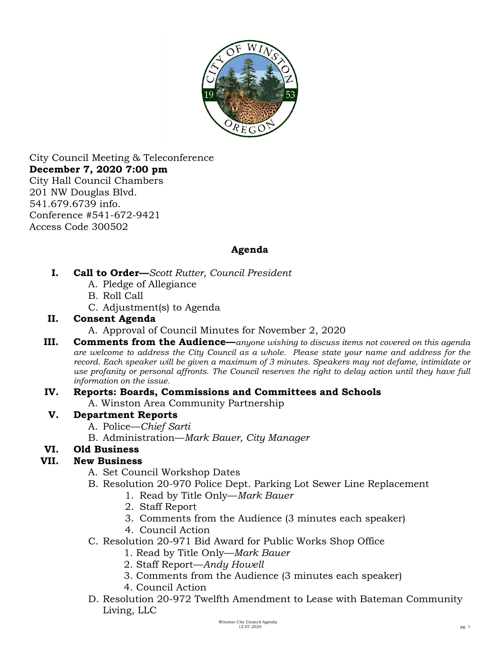

City Council Meeting & Teleconference **December 7, 2020 7:00 pm**  City Hall Council Chambers 201 NW Douglas Blvd. 541.679.6739 info. Conference #541-672-9421 Access Code 300502

# **Agenda**

- **I. Call to Order—***Scott Rutter, Council President*
	- A. Pledge of Allegiance
	- B. Roll Call
	- C. Adjustment(s) to Agenda

#### **II. Consent Agenda**

- A. Approval of Council Minutes for November 2, 2020
- **III. Comments from the Audience**—*anyone wishing to discuss items not covered on this agenda are welcome to address the City Council as a whole. Please state your name and address for the record. Each speaker will be given a maximum of 3 minutes. Speakers may not defame, intimidate or use profanity or personal affronts. The Council reserves the right to delay action until they have full information on the issue.*

# **IV. Reports: Boards, Commissions and Committees and Schools**

A. Winston Area Community Partnership

# **V. Department Reports**

- A. Police—*Chief Sarti*
- B. Administration—*Mark Bauer, City Manager*

# **VI. Old Business**

# **VII. New Business**

- A. Set Council Workshop Dates
- B. Resolution 20-970 Police Dept. Parking Lot Sewer Line Replacement
	- 1. Read by Title Only—*Mark Bauer*
		- 2. Staff Report
		- 3. Comments from the Audience (3 minutes each speaker)
		- 4. Council Action
- C. Resolution 20-971 Bid Award for Public Works Shop Office
	- 1. Read by Title Only—*Mark Bauer*
	- 2. Staff Report—*Andy Howell*
	- 3. Comments from the Audience (3 minutes each speaker)
	- 4. Council Action
- D. Resolution 20-972 Twelfth Amendment to Lease with Bateman Community Living, LLC